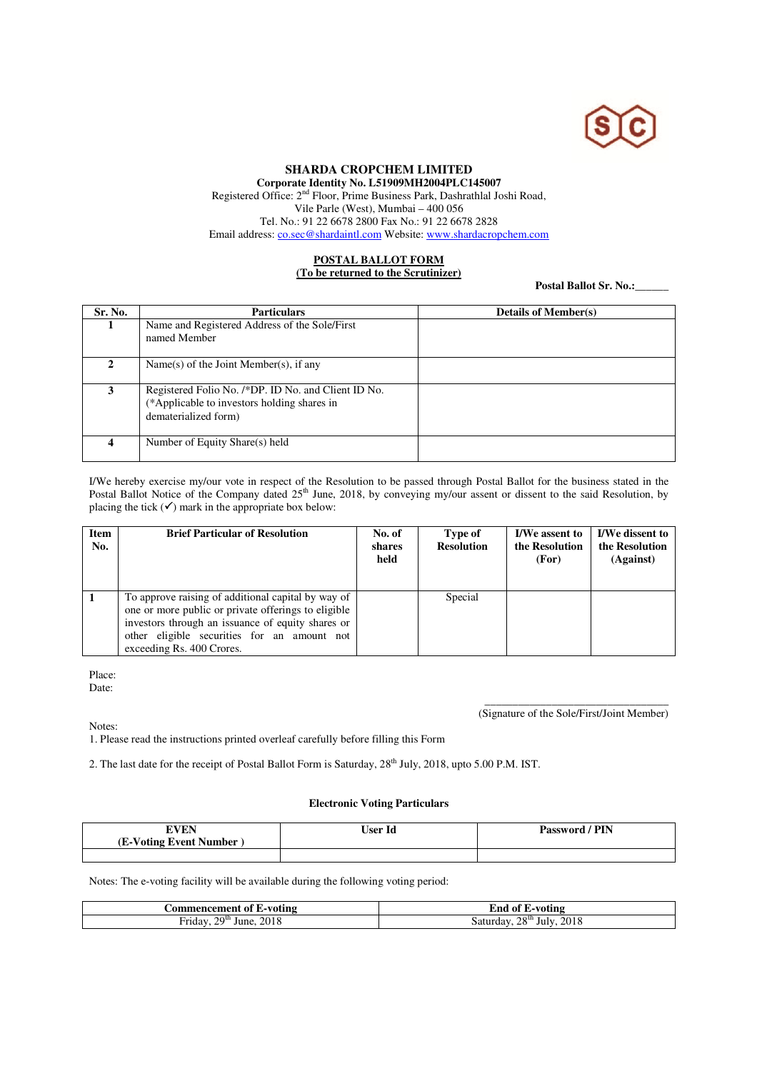

## **SHARDA CROPCHEM LIMITED**

**Corporate Identity No. L51909MH2004PLC145007**  Registered Office: 2<sup>nd</sup> Floor, Prime Business Park, Dashrathlal Joshi Road, Vile Parle (West), Mumbai – 400 056 Tel. No.: 91 22 6678 2800 Fax No.: 91 22 6678 2828

Email address: co.sec@shardaintl.com Website: www.shardacropchem.com

## **POSTAL BALLOT FORM (To be returned to the Scrutinizer)**

Postal Ballot Sr. No.:

| Sr. No.      | <b>Particulars</b>                                                                                                         | <b>Details of Member(s)</b> |
|--------------|----------------------------------------------------------------------------------------------------------------------------|-----------------------------|
|              | Name and Registered Address of the Sole/First<br>named Member                                                              |                             |
| $\mathbf{2}$ | Name(s) of the Joint Member(s), if any                                                                                     |                             |
| 3            | Registered Folio No. /*DP. ID No. and Client ID No.<br>(*Applicable to investors holding shares in<br>dematerialized form) |                             |
|              | Number of Equity Share(s) held                                                                                             |                             |

I/We hereby exercise my/our vote in respect of the Resolution to be passed through Postal Ballot for the business stated in the Postal Ballot Notice of the Company dated 25<sup>th</sup> June, 2018, by conveying my/our assent or dissent to the said Resolution, by placing the tick  $(\checkmark)$  mark in the appropriate box below:

| <b>Item</b><br>No. | <b>Brief Particular of Resolution</b>                                                                                                                                                                                                      | No. of<br>shares<br>held | Type of<br><b>Resolution</b> | <b>I/We assent to</b><br>the Resolution<br>(For) | <b>I/We dissent to</b><br>the Resolution<br>(Against) |
|--------------------|--------------------------------------------------------------------------------------------------------------------------------------------------------------------------------------------------------------------------------------------|--------------------------|------------------------------|--------------------------------------------------|-------------------------------------------------------|
|                    | To approve raising of additional capital by way of<br>one or more public or private offerings to eligible<br>investors through an issuance of equity shares or<br>other eligible securities for an amount not<br>exceeding Rs. 400 Crores. |                          | Special                      |                                                  |                                                       |

Place:

Date:

Notes:

\_\_\_\_\_\_\_\_\_\_\_\_\_\_\_\_\_\_\_\_\_\_\_\_\_\_\_\_\_\_\_\_\_ (Signature of the Sole/First/Joint Member)

1. Please read the instructions printed overleaf carefully before filling this Form

2. The last date for the receipt of Postal Ballot Form is Saturday, 28<sup>th</sup> July, 2018, upto 5.00 P.M. IST.

## **Electronic Voting Particulars**

| EVEN<br>--              | <b>User Id</b> | PIN<br>Password |
|-------------------------|----------------|-----------------|
| (E-Voting Event Number) |                |                 |
|                         |                |                 |

Notes: The e-voting facility will be available during the following voting period:

| L-voting<br>.or<br>ıcemer<br>. OT<br>meno | ·voting<br>Ena<br>- O1 |
|-------------------------------------------|------------------------|
| 2018                                      | 28 <sup>th</sup>       |
| 20 <sup>th</sup>                          | 2018                   |
| -riday                                    | July                   |
| June                                      | saturday.              |